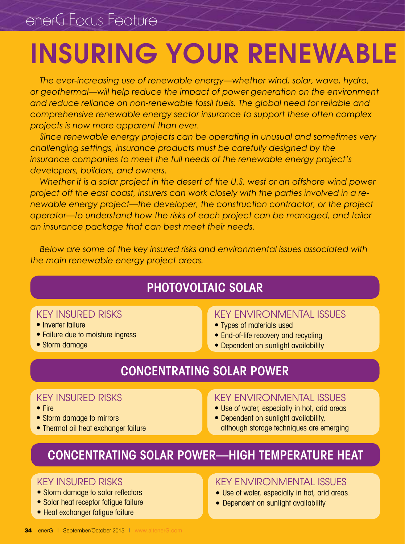# **INSURING YOUR RENEWABLE**

*The ever-increasing use of renewable energy—whether wind, solar, wave, hydro, or geothermal—will help reduce the impact of power generation on the environment and reduce reliance on non-renewable fossil fuels. The global need for reliable and comprehensive renewable energy sector insurance to support these often complex projects is now more apparent than ever.*

*Since renewable energy projects can be operating in unusual and sometimes very challenging settings, insurance products must be carefully designed by the insurance companies to meet the full needs of the renewable energy project's developers, builders, and owners.*

*Whether it is a solar project in the desert of the U.S. west or an offshore wind power project off the east coast, insurers can work closely with the parties involved in a renewable energy project—the developer, the construction contractor, or the project operator—to understand how the risks of each project can be managed, and tailor an insurance package that can best meet their needs.*

*Below are some of the key insured risks and environmental issues associated with the main renewable energy project areas.*

## PHOTOVOLTAIC SOLAR

#### Key Insured Risks

- Inverter failure
- Failure due to moisture ingress
- Storm damage

#### Key Environmental Issues

- Types of materials used
- End-of-life recovery and recycling
- Dependent on sunlight availability

### concentrating solar power

#### Key Insured Risks

- Fire
- Storm damage to mirrors
- Thermal oil heat exchanger failure

#### Key Environmental Issues

- Use of water, especially in hot, arid areas
- Dependent on sunlight availability, although storage techniques are emerging

## concentrating solar power—high temperature heat

#### Key Insured Risks

- Storm damage to solar reflectors
- Solar heat receptor fatique failure
- Heat exchanger fatigue failure

#### Key Environmental Issues

- Use of water, especially in hot, arid areas.
- Dependent on sunlight availability